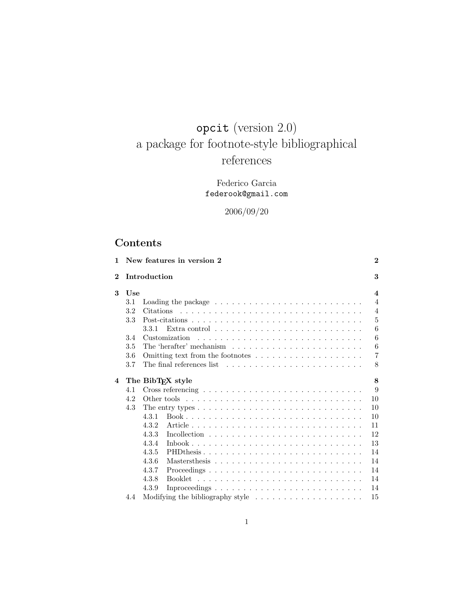# opcit (version 2.0) a package for footnote-style bibliographical references

## Federico Garcia federook@gmail.com

## 2006/09/20

## Contents

| $\mathbf{1}$   |     | New features in version 2                                                                            | $\mathbf{2}$            |
|----------------|-----|------------------------------------------------------------------------------------------------------|-------------------------|
| $\overline{2}$ |     | Introduction                                                                                         | 3                       |
| 3              | Use |                                                                                                      | $\overline{\mathbf{4}}$ |
|                | 3.1 |                                                                                                      | $\overline{4}$          |
|                | 3.2 |                                                                                                      | $\overline{4}$          |
|                | 3.3 |                                                                                                      | $\overline{5}$          |
|                |     | 3.3.1                                                                                                | 6                       |
|                | 3.4 | Customization                                                                                        | 6                       |
|                | 3.5 |                                                                                                      | 6                       |
|                | 3.6 |                                                                                                      | $\overline{7}$          |
|                | 3.7 | The final references list $\ldots$ , $\ldots$ , $\ldots$ , $\ldots$ , $\ldots$ , $\ldots$ , $\ldots$ | 8                       |
| 4              |     | The BibTFX style                                                                                     | 8                       |
|                | 4.1 |                                                                                                      | 9                       |
|                | 4.2 |                                                                                                      | 10                      |
|                | 4.3 | The entry types $\dots \dots \dots \dots \dots \dots \dots \dots \dots \dots \dots \dots$            | 10                      |
|                |     | 4.3.1                                                                                                | 10                      |
|                |     | 4.3.2                                                                                                | 11                      |
|                |     | 4.3.3                                                                                                | 12                      |
|                |     | 4.3.4<br>$Inbook$                                                                                    | 13                      |
|                |     | 4.3.5<br>PHDthesis                                                                                   | 14                      |
|                |     | 4.3.6                                                                                                | 14                      |
|                |     | 4.3.7                                                                                                | 14                      |
|                |     | 4.3.8                                                                                                | 14                      |
|                |     | 4.3.9                                                                                                | 14                      |
|                | 4.4 | Modifying the bibliography style $\ldots \ldots \ldots \ldots \ldots \ldots$                         | 15                      |
|                |     |                                                                                                      |                         |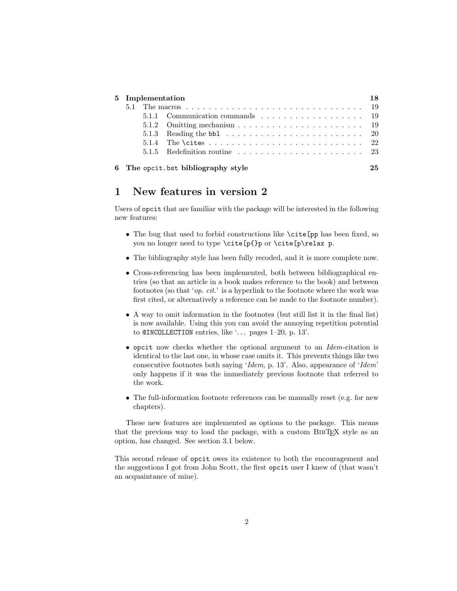|  | 5 Implementation |                                                                                    |    |
|--|------------------|------------------------------------------------------------------------------------|----|
|  |                  |                                                                                    |    |
|  |                  | 5.1.1 Communication commands 19                                                    |    |
|  |                  |                                                                                    |    |
|  |                  | 5.1.3 Reading the bb1 $\ldots \ldots \ldots \ldots \ldots \ldots \ldots \ldots 20$ |    |
|  |                  |                                                                                    |    |
|  |                  |                                                                                    |    |
|  |                  | 6 The opcit bst bibliography style                                                 | 25 |

## 1 New features in version 2

Users of opcit that are familiar with the package will be interested in the following new features:

- The bug that used to forbid constructions like \cite[pp has been fixed, so you no longer need to type \cite[p{}p or \cite[p\relax p.
- The bibliography style has been fully recoded, and it is more complete now.
- Cross-referencing has been implemented, both between bibliographical entries (so that an article in a book makes reference to the book) and between footnotes (so that 'op. cit.' is a hyperlink to the footnote where the work was first cited, or alternatively a reference can be made to the footnote number).
- A way to omit information in the footnotes (but still list it in the final list) is now available. Using this you can avoid the annoying repetition potential to  $\texttt{QINCOLECTION}$  entries, like '... pages 1–20, p. 13'.
- opcit now checks whether the optional argument to an Idem-citation is identical to the last one, in whose case omits it. This prevents things like two consecutive footnotes both saying 'Idem, p. 13'. Also, appearance of 'Idem' only happens if it was the immediately previous footnote that referred to the work.
- The full-information footnote references can be manually reset (e.g. for new chapters).

These new features are implemented as options to the package. This means that the previous way to load the package, with a custom BIBT<sub>EX</sub> style as an option, has changed. See section 3.1 below.

This second release of opcit owes its existence to both the encouragement and the suggestions I got from John Scott, the first opcit user I knew of (that wasn't an acquaintance of mine).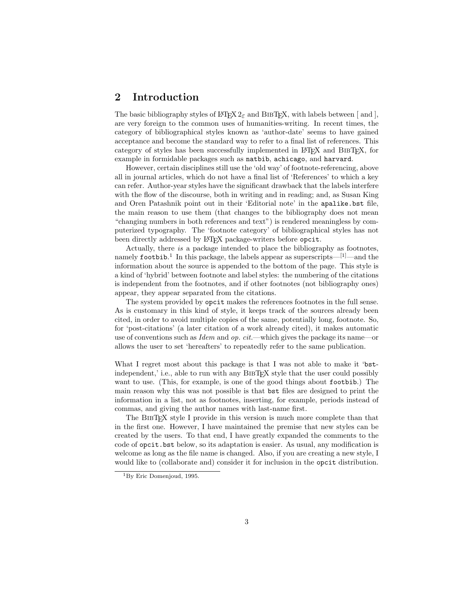## 2 Introduction

The basic bibliography styles of  $\angle FFX2_{\epsilon}$  and BIBTEX, with labels between [and ], are very foreign to the common uses of humanities-writing. In recent times, the category of bibliographical styles known as 'author-date' seems to have gained acceptance and become the standard way to refer to a final list of references. This category of styles has been successfully implemented in LATEX and BibTEX, for example in formidable packages such as natbib, achicago, and harvard.

However, certain disciplines still use the 'old way' of footnote-referencing, above all in journal articles, which do not have a final list of 'References' to which a key can refer. Author-year styles have the significant drawback that the labels interfere with the flow of the discourse, both in writing and in reading; and, as Susan King and Oren Patashnik point out in their 'Editorial note' in the apalike.bst file, the main reason to use them (that changes to the bibliography does not mean "changing numbers in both references and text") is rendered meaningless by computerized typography. The 'footnote category' of bibliographical styles has not been directly addressed by LAT<sub>EX</sub> package-writers before opcit.

Actually, there is a package intended to place the bibliography as footnotes, namely footbib.<sup>1</sup> In this package, the labels appear as superscripts—<sup>[1]</sup>—and the information about the source is appended to the bottom of the page. This style is a kind of 'hybrid' between footnote and label styles: the numbering of the citations is independent from the footnotes, and if other footnotes (not bibliography ones) appear, they appear separated from the citations.

The system provided by opcit makes the references footnotes in the full sense. As is customary in this kind of style, it keeps track of the sources already been cited, in order to avoid multiple copies of the same, potentially long, footnote. So, for 'post-citations' (a later citation of a work already cited), it makes automatic use of conventions such as  $Idem$  and op.  $cit$ —which gives the package its name—or allows the user to set 'hereafters' to repeatedly refer to the same publication.

What I regret most about this package is that I was not able to make it 'bstindependent,' i.e., able to run with any BIBTEX style that the user could possibly want to use. (This, for example, is one of the good things about footbib.) The main reason why this was not possible is that bst files are designed to print the information in a list, not as footnotes, inserting, for example, periods instead of commas, and giving the author names with last-name first.

The BibTEX style I provide in this version is much more complete than that in the first one. However, I have maintained the premise that new styles can be created by the users. To that end, I have greatly expanded the comments to the code of opcit.bst below, so its adaptation is easier. As usual, any modification is welcome as long as the file name is changed. Also, if you are creating a new style, I would like to (collaborate and) consider it for inclusion in the opcit distribution.

<sup>1</sup>By Eric Domenjoud, 1995.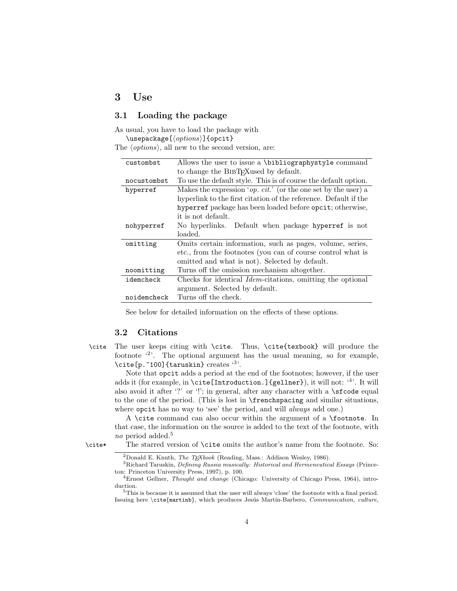### 3 Use

### 3.1 Loading the package

As usual, you have to load the package with

\usepackage  $[\langle options\rangle]$  {opcit}

The  $\langle options \rangle$ , all new to the second version, are:

| custombst   | Allows the user to issue a \bibliographystyle command                   |
|-------------|-------------------------------------------------------------------------|
|             | to change the BIBT <sub>F</sub> Xused by default.                       |
| nocustombst | To use the default style. This is of course the default option.         |
| hyperref    | Makes the expression ' <i>op. cit.</i> ' (or the one set by the user) a |
|             | hyperlink to the first citation of the reference. Default if the        |
|             | hyperref package has been loaded before opcit; otherwise,               |
|             | it is not default.                                                      |
| nohyperref  | No hyperlinks. Default when package hyperref is not                     |
|             |                                                                         |
|             | loaded.                                                                 |
| omitting    | Omits certain information, such as pages, volume, series,               |
|             | etc., from the footnotes (you can of course control what is             |
|             | omitted and what is not). Selected by default.                          |
| noomitting  | Turns off the omission mechanism altogether.                            |
| idemcheck   | Checks for identical <i>Idem</i> -citations, omitting the optional      |
|             | argument. Selected by default.                                          |

See below for detailed information on the effects of these options.

#### 3.2 Citations

\cite The user keeps citing with \cite. Thus, \cite{texbook} will produce the footnote  $\binom{2}{2}$ . The optional argument has the usual meaning, so for example, \cite[p.~100]{taruskin} creates '3'.

Note that opcit adds a period at the end of the footnotes; however, if the user adds it (for example, in **\cite[Introduction.]{gellner}**), it will not: '<sup>4</sup>'. It will also avoid it after '?' or '!'; in general, after any character with a  $\succeq$  stock equal to the one of the period. (This is lost in \frenchspacing and similar situations, where opcit has no way to 'see' the period, and will *always* add one.)

A \cite command can also occur within the argument of a \footnote. In that case, the information on the source is added to the text of the footnote, with no period added.<sup>5</sup>

\cite\* The starred version of \cite omits the author's name from the footnote. So:

<sup>&</sup>lt;sup>2</sup>Donald E. Knuth, *The TEXbook* (Reading, Mass.: Addison Wesley, 1986).

<sup>3</sup>Richard Taruskin, Defining Russia musically: Historical and Hermeneutical Essays (Princeton: Princeton University Press, 1997), p. 100.

<sup>4</sup>Ernest Gellner, Thought and change (Chicago: University of Chicago Press, 1964), introduction.

<sup>5</sup>This is because it is assumed that the user will always 'close' the footnote with a final period. Issuing here \cite{martinb}, which produces Jesús Martín-Barbero, Communication, culture,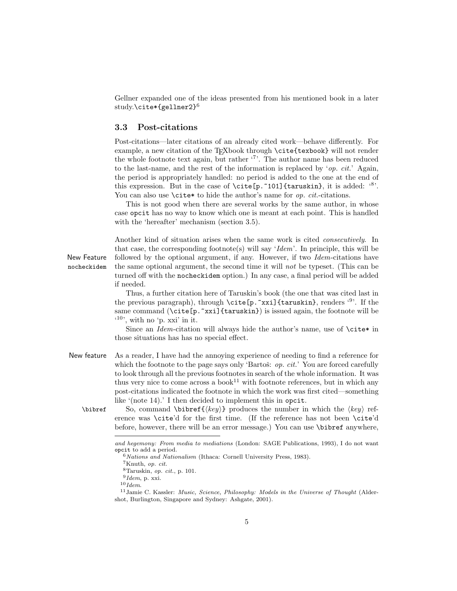Gellner expanded one of the ideas presented from his mentioned book in a later study.\cite\*{gellner2}<sup>6</sup>

#### 3.3 Post-citations

Post-citations—later citations of an already cited work—behave differently. For example, a new citation of the T<sub>E</sub>Xbook through \cite{texbook} will not render the whole footnote text again, but rather '7'. The author name has been reduced to the last-name, and the rest of the information is replaced by 'op. cit.' Again, the period is appropriately handled: no period is added to the one at the end of this expression. But in the case of  $\cite[p. 101]{\text{taruskin}},$  it is added:  $^{8}$ . You can also use  $\text{cite*}$  to hide the author's name for *op. cit.*-citations.

This is not good when there are several works by the same author, in whose case opcit has no way to know which one is meant at each point. This is handled with the 'hereafter' mechanism (section 3.5).

Another kind of situation arises when the same work is cited *consecutively*. In that case, the corresponding footnote(s) will say ' $Idem'$ . In principle, this will be New Feature followed by the optional argument, if any. However, if two *Idem*-citations have nocheckidem the same optional argument, the second time it will not be typeset. (This can be turned off with the nocheckidem option.) In any case, a final period will be added if needed.

> Thus, a further citation here of Taruskin's book (the one that was cited last in the previous paragraph), through  $\cite[p.*xxi]$  {taruskin}, renders '<sup>9</sup>'. If the same command  $(\c{ite[p,xxi]{\text{taruskin}}})$  is issued again, the footnote will be  $(10)$ , with no 'p. xxi' in it.

> Since an Idem-citation will always hide the author's name, use of  $\cite* in$ those situations has has no special effect.

- New feature As a reader, I have had the annoying experience of needing to find a reference for which the footnote to the page says only 'Bartoš:  $op. cit.$ ' You are forced carefully to look through all the previous footnotes in search of the whole information. It was thus very nice to come across a book<sup>11</sup> with footnote references, but in which any post-citations indicated the footnote in which the work was first cited—something like '(note 14).' I then decided to implement this in opcit.
	- \bibref So, command \bibref{ $\{key\}$  produces the number in which the  $\{key\}$  reference was \cite'd for the first time. (If the reference has not been \cite'd before, however, there will be an error message.) You can use \bibref anywhere,

and hegemony: From media to mediations (London: SAGE Publications, 1993), I do not want opcit to add a period.

 $6$  Nations and Nationalism (Ithaca: Cornell University Press, 1983).

<sup>7</sup>Knuth, op. cit.

 $8$ Taruskin, *op. cit.*, p. 101.

 $9$ *Idem*, p. xxi.

 $10$  Idem.

 $11$ Jamie C. Kassler: *Music, Science, Philosophy: Models in the Universe of Thought* (Aldershot, Burlington, Singapore and Sydney: Ashgate, 2001).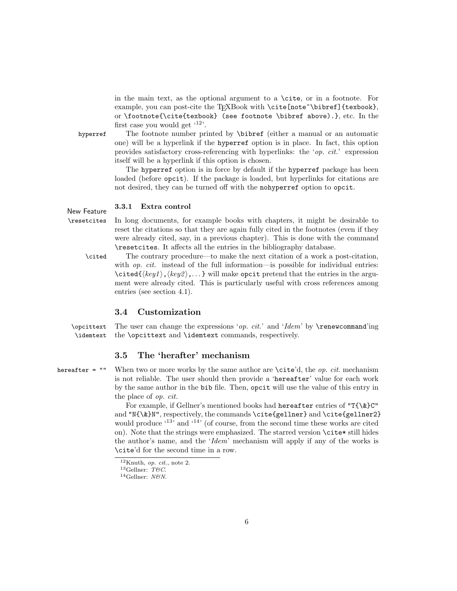in the main text, as the optional argument to a \cite, or in a footnote. For example, you can post-cite the TEXBook with \cite [note~\bibref] {texbook}, or \footnote{\cite{texbook} (see footnote \bibref above).}, etc. In the first case you would get  $^{(12)}$ .

hyperref The footnote number printed by \bibref (either a manual or an automatic one) will be a hyperlink if the hyperref option is in place. In fact, this option provides satisfactory cross-referencing with hyperlinks: the 'op. cit.' expression itself will be a hyperlink if this option is chosen.

> The hyperref option is in force by default if the hyperref package has been loaded (before opcit). If the package is loaded, but hyperlinks for citations are not desired, they can be turned off with the nohyperref option to opcit.

## New Feature  $3.3.1$  Extra control

\resetcites In long documents, for example books with chapters, it might be desirable to reset the citations so that they are again fully cited in the footnotes (even if they were already cited, say, in a previous chapter). This is done with the command \resetcites. It affects all the entries in the bibliography database.

\cited The contrary procedure—to make the next citation of a work a post-citation, with *op. cit.* instead of the full information—is possible for individual entries:  $\text{Cited}(\text{key1},\text{key2},\ldots$  will make opcit pretend that the entries in the argument were already cited. This is particularly useful with cross references among entries (see section 4.1).

#### 3.4 Customization

\opcittext The user can change the expressions '*op. cit.*' and 'Idem' by \renewcommand'ing \idemtext the \opcittext and \idemtext commands, respectively.

#### 3.5 The 'herafter' mechanism

hereafter = "" When two or more works by the same author are  $\c{ite'd}$ , the *op. cit.* mechanism is not reliable. The user should then provide a 'hereafter' value for each work by the same author in the bib file. Then, opcit will use the value of this entry in the place of op. cit.

> For example, if Gellner's mentioned books had hereafter entries of "T{\&}C" and "N{\&}N", respectively, the commands \cite{gellner} and \cite{gellner2} would produce  $^{(13)}$  and  $^{(14)}$  (of course, from the second time these works are cited on). Note that the strings were emphasized. The starred version \cite\* still hides the author's name, and the 'Idem' mechanism will apply if any of the works is \cite'd for the second time in a row.

 $12$ Knuth, *op. cit.*, note 2.

 $13$ Gellner: T&C.

 $14$ Gellner: N&N.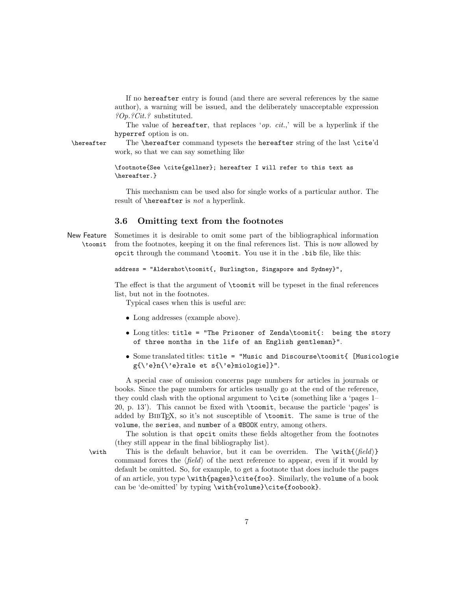If no hereafter entry is found (and there are several references by the same author), a warning will be issued, and the deliberately unacceptable expression ?Op.?Cit.? substituted.

The value of hereafter, that replaces '*op. cit.*,' will be a hyperlink if the hyperref option is on.

\hereafter The \hereafter command typesets the hereafter string of the last \cite'd work, so that we can say something like

> \footnote{See \cite{gellner}; hereafter I will refer to this text as \hereafter.}

This mechanism can be used also for single works of a particular author. The result of \hereafter is not a hyperlink.

#### 3.6 Omitting text from the footnotes

New Feature Sometimes it is desirable to omit some part of the bibliographical information \toomit from the footnotes, keeping it on the final references list. This is now allowed by opcit through the command \toomit. You use it in the .bib file, like this:

```
address = "Aldershot\toomit{, Burlington, Singapore and Sydney}",
```
The effect is that the argument of \toomit will be typeset in the final references list, but not in the footnotes.

Typical cases when this is useful are:

- Long addresses (example above).
- Long titles: title = "The Prisoner of Zenda\toomit{: being the story of three months in the life of an English gentleman}".
- Some translated titles: title = "Music and Discourse\toomit{ [Musicologie g{\'e}n{\'e}rale et s{\'e}miologie]}".

A special case of omission concerns page numbers for articles in journals or books. Since the page numbers for articles usually go at the end of the reference, they could clash with the optional argument to \cite (something like a 'pages 1– 20, p. 13'). This cannot be fixed with \toomit, because the particle 'pages' is added by BIBT<sub>EX</sub>, so it's not susceptible of \toomit. The same is true of the volume, the series, and number of a @BOOK entry, among others.

The solution is that opcit omits these fields altogether from the footnotes (they still appear in the final bibliography list).

\with This is the default behavior, but it can be overriden. The \with{ $\langle field \rangle$ } command forces the  $\langle field \rangle$  of the next reference to appear, even if it would by default be omitted. So, for example, to get a footnote that does include the pages of an article, you type \with{pages}\cite{foo}. Similarly, the volume of a book can be 'de-omitted' by typing \with{volume}\cite{foobook}.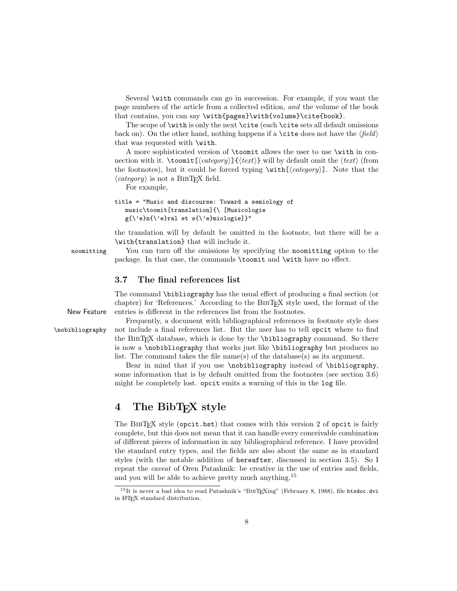Several \with commands can go in succession. For example, if you want the page numbers of the article from a collected edition, and the volume of the book that contains, you can say \with{pages}\with{volume}\cite{book}.

The scope of **\with** is only the next **\cite** (each **\cite** sets all default omissions back on). On the other hand, nothing happens if a  $\ci$ te does not have the  $\langle field \rangle$ that was requested with \with.

A more sophisticated version of \toomit allows the user to use \with in connection with it.  $\to$   $\in$   $\{\langle category \rangle\}$   $\{\langle text \rangle\}$  will by default omit the  $\langle text \rangle$  (from the footnotes), but it could be forced typing  $\with[\langle category \rangle]$ . Note that the  $\langle category \rangle$  is not a BIBT<sub>EX</sub> field.

For example,

```
title = "Music and discourse: Toward a semiology of
   music\toomit[translation]{\ [Musicologie
   g{\'e}n{\'e}ral et s{\'e}miologie]}"
```
the translation will by default be omitted in the footnote, but there will be a \with{translation} that will include it.

noomitting You can turn off the omissions by specifying the noomitting option to the package. In that case, the commands \toomit and \with have no effect.

#### 3.7 The final references list

The command \bibliography has the usual effect of producing a final section (or chapter) for 'References.' According to the BIBT<sub>EX</sub> style used, the format of the New Feature entries is different in the references list from the footnotes.

Frequently, a document with bibliographical references in footnote style does \nobibliography not include a final references list. But the user has to tell opcit where to find the BibTEX database, which is done by the \bibliography command. So there is now a \nobibliography that works just like \bibliography but produces no list. The command takes the file name(s) of the database(s) as its argument.

> Bear in mind that if you use \nobibliography instead of \bibliography, some information that is by default omitted from the footnotes (see section 3.6) might be completely lost. opcit emits a warning of this in the log file.

## 4 The BibT<sub>F</sub>X style

The BIBT<sub>EX</sub> style (opcit.bst) that comes with this version 2 of opcit is fairly complete, but this does not mean that it can handle every conceivable combination of different pieces of information in any bibliographical reference. I have provided the standard entry types, and the fields are also about the same as in standard styles (with the notable addition of hereafter, discussed in section 3.5). So I repeat the caveat of Oren Patashnik: be creative in the use of entries and fields, and you will be able to achieve pretty much anything.<sup>15</sup>

 $15$ It is never a bad idea to read Patashnik's "BIBT<sub>E</sub>Xing" (February 8, 1988), file btxdoc.dvi in LATEX standard distribution.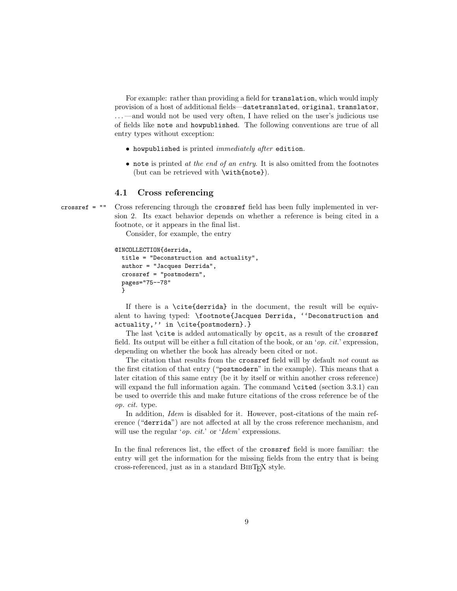For example: rather than providing a field for translation, which would imply provision of a host of additional fields—datetranslated, original, translator, . . . —and would not be used very often, I have relied on the user's judicious use of fields like note and howpublished. The following conventions are true of all entry types without exception:

- howpublished is printed immediately after edition.
- $\bullet$  note is printed at the end of an entry. It is also omitted from the footnotes (but can be retrieved with \with{note}).

#### 4.1 Cross referencing

crossref = "" Cross referencing through the crossref field has been fully implemented in version 2. Its exact behavior depends on whether a reference is being cited in a footnote, or it appears in the final list.

Consider, for example, the entry

```
@INCOLLECTION{derrida,
  title = "Deconstruction and actuality",
  author = "Jacques Derrida",
  crossref = "postmodern",
  pages="75--78"
  }
```
If there is a \cite{derrida} in the document, the result will be equivalent to having typed: \footnote{Jacques Derrida, ''Deconstruction and actuality,'' in \cite{postmodern}.}

The last \cite is added automatically by opcit, as a result of the crossref field. Its output will be either a full citation of the book, or an 'op. cit.' expression, depending on whether the book has already been cited or not.

The citation that results from the crossref field will by default not count as the first citation of that entry ("postmodern" in the example). This means that a later citation of this same entry (be it by itself or within another cross reference) will expand the full information again. The command **\cited** (section 3.3.1) can be used to override this and make future citations of the cross reference be of the op. cit. type.

In addition, Idem is disabled for it. However, post-citations of the main reference ("derrida") are not affected at all by the cross reference mechanism, and will use the regular '*op. cit.*' or '*Idem*' expressions.

In the final references list, the effect of the crossref field is more familiar: the entry will get the information for the missing fields from the entry that is being cross-referenced, just as in a standard BibTEX style.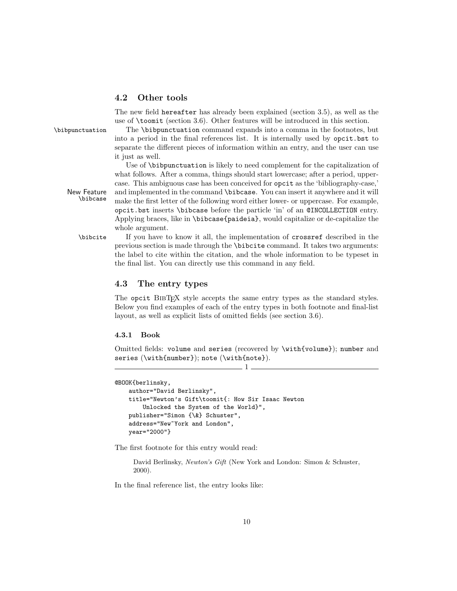#### 4.2 Other tools

The new field hereafter has already been explained (section 3.5), as well as the use of \toomit (section 3.6). Other features will be introduced in this section.

\bibpunctuation The \bibpunctuation command expands into a comma in the footnotes, but into a period in the final references list. It is internally used by opcit.bst to separate the different pieces of information within an entry, and the user can use it just as well.

Use of \bibpunctuation is likely to need complement for the capitalization of what follows. After a comma, things should start lowercase; after a period, uppercase. This ambiguous case has been conceived for opcit as the 'bibliography-case,' New Feature and implemented in the command \bibcase. You can insert it anywhere and it will<br>bibcase make the first latter of the following word either lower or unnergase. For example make the first letter of the following word either lower- or uppercase. For example, opcit.bst inserts \bibcase before the particle 'in' of an @INCOLLECTION entry. Applying braces, like in \bibcase{paideia}, would capitalize or de-capitalize the whole argument.

\bibcite If you have to know it all, the implementation of crossref described in the previous section is made through the \bibcite command. It takes two arguments: the label to cite within the citation, and the whole information to be typeset in the final list. You can directly use this command in any field.

#### 4.3 The entry types

The opcit BIBT<sub>EX</sub> style accepts the same entry types as the standard styles. Below you find examples of each of the entry types in both footnote and final-list layout, as well as explicit lists of omitted fields (see section 3.6).

#### 4.3.1 Book

Omitted fields: volume and series (recovered by \with{volume}); number and series (\with{number}); note (\with{note}).

1

```
@BOOK{berlinsky,
    author="David Berlinsky",
    title="Newton's Gift\toomit{: How Sir Isaac Newton
       Unlocked the System of the World}",
   publisher="Simon {\&} Schuster",
    address="New~York and London",
   year="2000"}
```
The first footnote for this entry would read:

David Berlinsky, Newton's Gift (New York and London: Simon & Schuster, 2000).

In the final reference list, the entry looks like: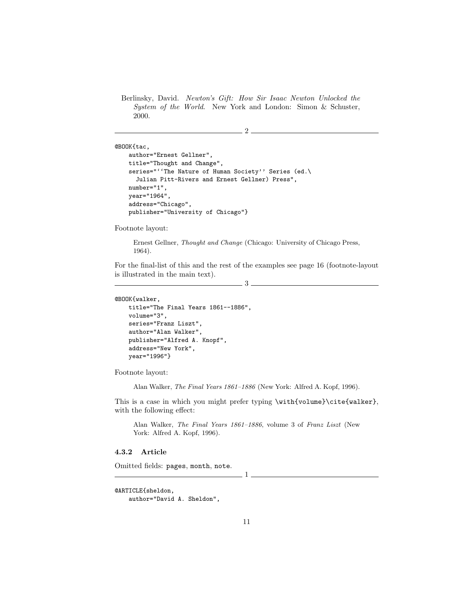Berlinsky, David. Newton's Gift: How Sir Isaac Newton Unlocked the System of the World. New York and London: Simon & Schuster, 2000.

 $2-$ 

```
@BOOK{tac,
   author="Ernest Gellner",
   title="Thought and Change",
    series="''The Nature of Human Society'' Series (ed.\
      Julian Pitt-Rivers and Ernest Gellner) Press",
   number="1",
   year="1964",
   address="Chicago",
   publisher="University of Chicago"}
```
Footnote layout:

Ernest Gellner, Thought and Change (Chicago: University of Chicago Press, 1964).

For the final-list of this and the rest of the examples see page 16 (footnote-layout is illustrated in the main text).

3

@BOOK{walker,

```
title="The Final Years 1861--1886",
volume="3",
series="Franz Liszt",
author="Alan Walker",
publisher="Alfred A. Knopf",
address="New York",
year="1996"}
```
Footnote layout:

Alan Walker, The Final Years 1861–1886 (New York: Alfred A. Kopf, 1996).

This is a case in which you might prefer typing \with{volume}\cite{walker}, with the following effect:

Alan Walker, The Final Years 1861–1886, volume 3 of Franz Liszt (New York: Alfred A. Kopf, 1996).

 $\frac{1}{2}$ 

#### 4.3.2 Article

Omitted fields: pages, month, note.

```
@ARTICLE{sheldon,
```

```
author="David A. Sheldon",
```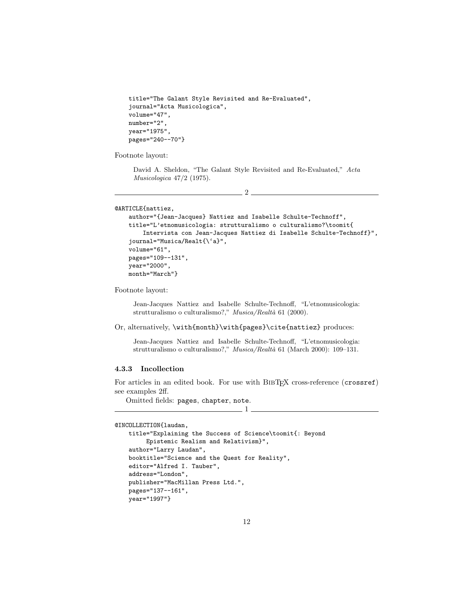```
title="The Galant Style Revisited and Re-Evaluated",
journal="Acta Musicologica",
volume="47",
number="2",
year="1975",
pages="240--70"}
```
Footnote layout:

David A. Sheldon, "The Galant Style Revisited and Re-Evaluated," Acta Musicologica 47/2 (1975).

 $-2-$ 

```
@ARTICLE{nattiez,
```

```
author="{Jean-Jacques} Nattiez and Isabelle Schulte-Technoff",
title="L'etnomusicologia: strutturalismo o culturalismo?\toomit{
    Intervista con Jean-Jacques Nattiez di Isabelle Schulte-Technoff}",
journal="Musica/Realt{\'a}",
volume="61",
pages="109--131",
year="2000",
month="March"}
```
Footnote layout:

Jean-Jacques Nattiez and Isabelle Schulte-Technoff, "L'etnomusicologia: strutturalismo o culturalismo?," Musica/Realtà 61 (2000).

#### Or, alternatively, \with{month}\with{pages}\cite{nattiez} produces:

Jean-Jacques Nattiez and Isabelle Schulte-Technoff, "L'etnomusicologia: strutturalismo o culturalismo?," Musica/Realtà 61 (March 2000): 109–131.

#### 4.3.3 Incollection

For articles in an edited book. For use with BIBTEX cross-reference (crossref) see examples 2ff.

 $1$ 

Omitted fields: pages, chapter, note.

```
@INCOLLECTION{laudan,
```

```
title="Explaining the Success of Science\toomit{: Beyond
     Epistemic Realism and Relativism}",
author="Larry Laudan",
booktitle="Science and the Quest for Reality",
editor="Alfred I. Tauber",
address="London",
publisher="MacMillan Press Ltd.",
pages="137--161",
year="1997"}
```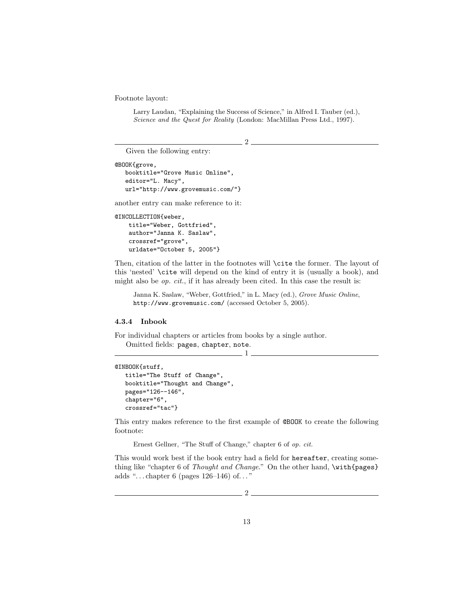Footnote layout:

Larry Laudan, "Explaining the Success of Science," in Alfred I. Tauber (ed.), Science and the Quest for Reality (London: MacMillan Press Ltd., 1997).

2

Given the following entry:

```
@BOOK{grove,
   booktitle="Grove Music Online",
   editor="L. Macy",
   url="http://www.grovemusic.com/"}
```
another entry can make reference to it:

```
@INCOLLECTION{weber,
   title="Weber, Gottfried",
    author="Janna K. Saslaw",
    crossref="grove",
   urldate="October 5, 2005"}
```
Then, citation of the latter in the footnotes will **\cite** the former. The layout of this 'nested' \cite will depend on the kind of entry it is (usually a book), and might also be  $op.$  cit., if it has already been cited. In this case the result is:

Janna K. Saslaw, "Weber, Gottfried," in L. Macy (ed.), Grove Music Online, http://www.grovemusic.com/ (accessed October 5, 2005).

#### 4.3.4 Inbook

For individual chapters or articles from books by a single author.

Omitted fields: pages, chapter, note.  $1-$ 

```
@INBOOK{stuff,
   title="The Stuff of Change",
  booktitle="Thought and Change",
  pages="126--146",
   chapter="6",
   crossref="tac"}
```
This entry makes reference to the first example of @BOOK to create the following footnote:

Ernest Gellner, "The Stuff of Change," chapter 6 of op. cit.

This would work best if the book entry had a field for hereafter, creating something like "chapter 6 of Thought and Change." On the other hand, \with{pages} adds "...chapter 6 (pages  $126-146$ ) of..."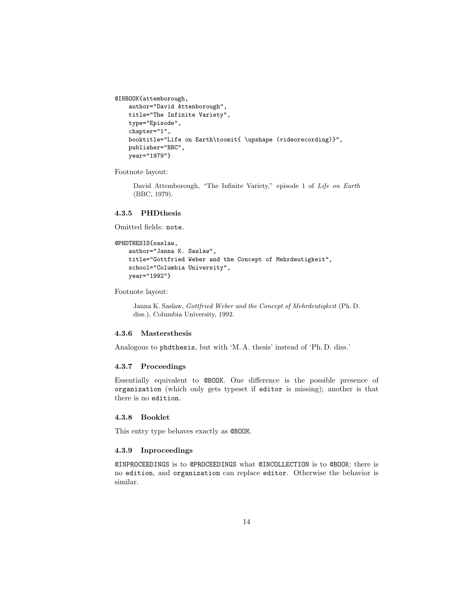```
@INBOOK{attemborough,
   author="David Attenborough",
   title="The Infinite Variety",
   type="Episode",
   chapter="1",
   booktitle="Life on Earth\toomit{ \upshape (videorecording)}",
   publisher="BBC",
   year="1979"}
```
Footnote layout:

David Attemborough, "The Infinite Variety," episode 1 of Life on Earth (BBC, 1979).

#### 4.3.5 PHDthesis

Omitted fields: note.

```
@PHDTHESIS{saslaw,
   author="Janna K. Saslaw",
   title="Gottfried Weber and the Concept of Mehrdeutigkeit",
   school="Columbia University",
   year="1992"}
```
Footnote layout:

Janna K. Saslaw, Gottfried Weber and the Concept of Mehrdeutigkeit (Ph. D. diss.), Columbia University, 1992.

#### 4.3.6 Mastersthesis

Analogous to phdthesis, but with 'M. A. thesis' instead of 'Ph. D. diss.'

#### 4.3.7 Proceedings

Essentially equivalent to @BOOK. One difference is the possible presence of organization (which only gets typeset if editor is missing); another is that there is no edition.

#### 4.3.8 Booklet

This entry type behaves exactly as @BOOK.

#### 4.3.9 Inproceedings

@INPROCEEDINGS is to @PROCEEDINGS what @INCOLLECTION is to @BOOK: there is no edition, and organization can replace editor. Otherwise the behavior is similar.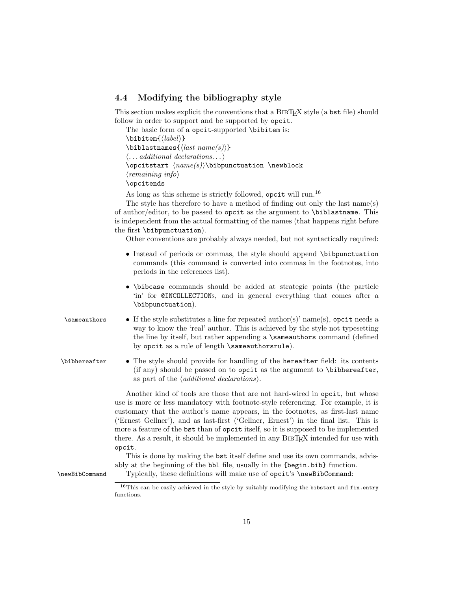#### 4.4 Modifying the bibliography style

This section makes explicit the conventions that a BIBT<sub>EX</sub> style (a bst file) should follow in order to support and be supported by opcit.

The basic form of a opcit-supported \bibitem is:  $\boldsymbol{\delta}$  $\boldsymbol{\lambda}$ stnames{ $\langle last \ name(s) \rangle$ }  $\langle \dots \text{additional declarations.} \dots \rangle$  $\text{length}(name(s))\bibpunctuation \newblock$  $\langle \text{remaining info} \rangle$ \opcitends

As long as this scheme is strictly followed, opcit will run.<sup>16</sup>

The style has therefore to have a method of finding out only the last name(s) of author/editor, to be passed to opcit as the argument to \biblastname. This is independent from the actual formatting of the names (that happens right before the first \bibpunctuation).

Other conventions are probably always needed, but not syntactically required:

- Instead of periods or commas, the style should append \bibpunctuation commands (this command is converted into commas in the footnotes, into periods in the references list).
- \bibcase commands should be added at strategic points (the particle 'in' for @INCOLLECTIONs, and in general everything that comes after a \bibpunctuation).
- $\lambda$  is for the style substitutes a line for repeated author(s)' name(s), opcit needs a way to know the 'real' author. This is achieved by the style not typesetting the line by itself, but rather appending a \sameauthors command (defined by opcit as a rule of length \sameauthorsrule).
- \bibhereafter The style should provide for handling of the hereafter field: its contents (if any) should be passed on to opcit as the argument to \bibhereafter, as part of the  $\langle additional\ declariions\rangle$ .

Another kind of tools are those that are not hard-wired in opcit, but whose use is more or less mandatory with footnote-style referencing. For example, it is customary that the author's name appears, in the footnotes, as first-last name ('Ernest Gellner'), and as last-first ('Gellner, Ernest') in the final list. This is more a feature of the bst than of opcit itself, so it is supposed to be implemented there. As a result, it should be implemented in any BibTEX intended for use with opcit.

This is done by making the bst itself define and use its own commands, advisably at the beginning of the bbl file, usually in the {begin.bib} function.

\newBibCommand Typically, these definitions will make use of opcit's \newBibCommand:

 $^{16}\mathrm{This}$  can be easily achieved in the style by suitably modifying the bibstart and fin.entry functions.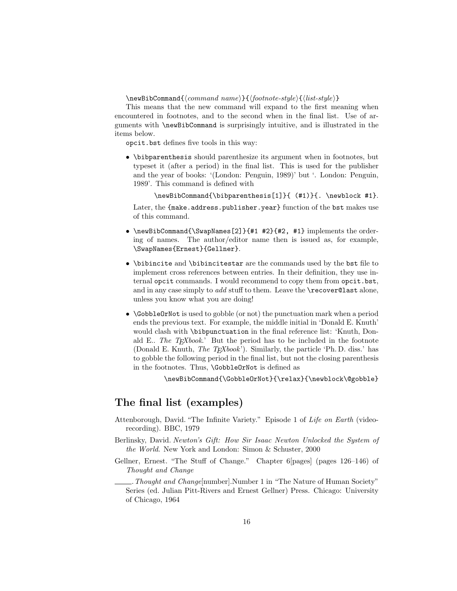$\newBibCommand{$ 

This means that the new command will expand to the first meaning when encountered in footnotes, and to the second when in the final list. Use of arguments with \newBibCommand is surprisingly intuitive, and is illustrated in the items below.

opcit.bst defines five tools in this way:

• \bibparenthesis should parenthesize its argument when in footnotes, but typeset it (after a period) in the final list. This is used for the publisher and the year of books: '(London: Penguin, 1989)' but '. London: Penguin, 1989'. This command is defined with

\newBibCommand{\bibparenthesis[1]}{ (#1)}{. \newblock #1}.

Later, the {make.address.publisher.year} function of the bst makes use of this command.

- \newBibCommand{\SwapNames[2]}{#1 #2}{#2, #1} implements the ordering of names. The author/editor name then is issued as, for example, \SwapNames{Ernest}{Gellner}.
- \bibincite and \bibincitestar are the commands used by the bst file to implement cross references between entries. In their definition, they use internal opcit commands. I would recommend to copy them from opcit.bst, and in any case simply to *add* stuff to them. Leave the **\recover@last** alone, unless you know what you are doing!
- \GobbleOrNot is used to gobble (or not) the punctuation mark when a period ends the previous text. For example, the middle initial in 'Donald E. Knuth' would clash with \bibpunctuation in the final reference list: 'Knuth, Donald E.. The  $T_F X book.$ ' But the period has to be included in the footnote (Donald E. Knuth, The T<sub>E</sub>Xbook'). Similarly, the particle 'Ph. D. diss.' has to gobble the following period in the final list, but not the closing parenthesis in the footnotes. Thus, \GobbleOrNot is defined as

\newBibCommand{\GobbleOrNot}{\relax}{\newblock\@gobble}

## The final list (examples)

- Attenborough, David. "The Infinite Variety." Episode 1 of Life on Earth (videorecording). BBC, 1979
- Berlinsky, David. Newton's Gift: How Sir Isaac Newton Unlocked the System of the World. New York and London: Simon & Schuster, 2000
- Gellner, Ernest. "The Stuff of Change." Chapter 6[pages] (pages 126–146) of Thought and Change

.Thought and Change[number].Number 1 in "The Nature of Human Society" Series (ed. Julian Pitt-Rivers and Ernest Gellner) Press. Chicago: University of Chicago, 1964